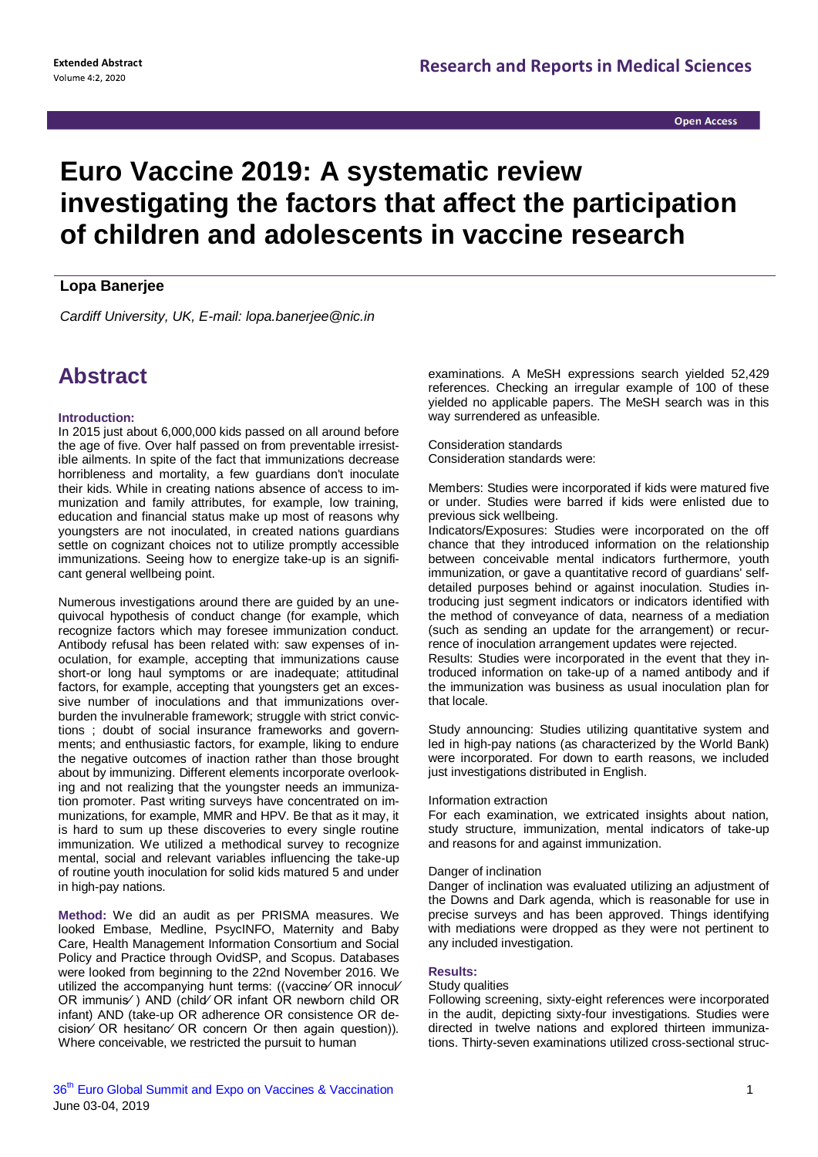**Open Access** 

# **Euro Vaccine 2019: A systematic review investigating the factors that affect the participation of children and adolescents in vaccine research**

# **[Lopa Banerjee](https://europe.vaccineconferences.com/speaker/2019/lopa-banerjee-cardiff-university-uk)**

*Cardiff University, UK, E-mail: lopa.banerjee@nic.in*

# **Abstract**

### **Introduction:**

In 2015 just about 6,000,000 kids passed on all around before the age of five. Over half passed on from preventable irresistible ailments. In spite of the fact that immunizations decrease horribleness and mortality, a few guardians don't inoculate their kids. While in creating nations absence of access to immunization and family attributes, for example, low training, education and financial status make up most of reasons why youngsters are not inoculated, in created nations guardians settle on cognizant choices not to utilize promptly accessible immunizations. Seeing how to energize take-up is an significant general wellbeing point.

Numerous investigations around there are guided by an unequivocal hypothesis of conduct change (for example, which recognize factors which may foresee immunization conduct. Antibody refusal has been related with: saw expenses of inoculation, for example, accepting that immunizations cause short-or long haul symptoms or are inadequate; attitudinal factors, for example, accepting that youngsters get an excessive number of inoculations and that immunizations overburden the invulnerable framework; struggle with strict convictions ; doubt of social insurance frameworks and governments; and enthusiastic factors, for example, liking to endure the negative outcomes of inaction rather than those brought about by immunizing. Different elements incorporate overlooking and not realizing that the youngster needs an immunization promoter. Past writing surveys have concentrated on immunizations, for example, MMR and HPV. Be that as it may, it is hard to sum up these discoveries to every single routine immunization. We utilized a methodical survey to recognize mental, social and relevant variables influencing the take-up of routine youth inoculation for solid kids matured 5 and under in high-pay nations.

**Method:** We did an audit as per PRISMA measures. We looked Embase, Medline, PsycINFO, Maternity and Baby Care, Health Management Information Consortium and Social Policy and Practice through OvidSP, and Scopus. Databases were looked from beginning to the 22nd November 2016. We utilized the accompanying hunt terms: ((vaccine⁄ OR innocul⁄ OR immunis⁄ ) AND (child⁄ OR infant OR newborn child OR infant) AND (take-up OR adherence OR consistence OR decision⁄ OR hesitanc⁄ OR concern Or then again question)). Where conceivable, we restricted the pursuit to human

examinations. A MeSH expressions search yielded 52,429 references. Checking an irregular example of 100 of these yielded no applicable papers. The MeSH search was in this way surrendered as unfeasible.

Consideration standards Consideration standards were:

Members: Studies were incorporated if kids were matured five or under. Studies were barred if kids were enlisted due to previous sick wellbeing.

Indicators/Exposures: Studies were incorporated on the off chance that they introduced information on the relationship between conceivable mental indicators furthermore, youth immunization, or gave a quantitative record of guardians' selfdetailed purposes behind or against inoculation. Studies introducing just segment indicators or indicators identified with the method of conveyance of data, nearness of a mediation (such as sending an update for the arrangement) or recurrence of inoculation arrangement updates were rejected.

Results: Studies were incorporated in the event that they introduced information on take-up of a named antibody and if the immunization was business as usual inoculation plan for that locale.

Study announcing: Studies utilizing quantitative system and led in high-pay nations (as characterized by the World Bank) were incorporated. For down to earth reasons, we included just investigations distributed in English.

#### Information extraction

For each examination, we extricated insights about nation, study structure, immunization, mental indicators of take-up and reasons for and against immunization.

#### Danger of inclination

Danger of inclination was evaluated utilizing an adjustment of the Downs and Dark agenda, which is reasonable for use in precise surveys and has been approved. Things identifying with mediations were dropped as they were not pertinent to any included investigation.

# **Results:**

# Study qualities

Following screening, sixty-eight references were incorporated in the audit, depicting sixty-four investigations. Studies were directed in twelve nations and explored thirteen immunizations. Thirty-seven examinations utilized cross-sectional struc